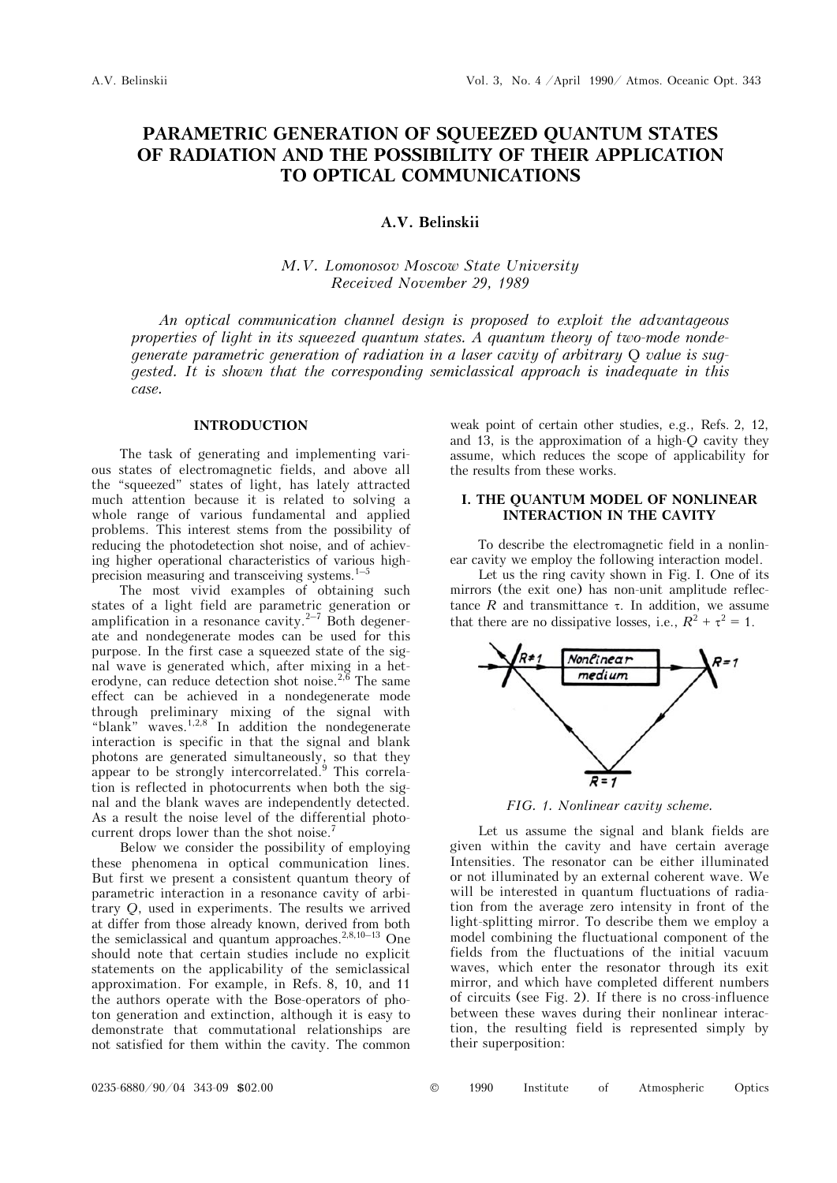# **PARAMETRIC GENERATION OF SQUEEZED QUANTUM STATES OF RADIATION AND THE POSSIBILITY OF THEIR APPLICATION TO OPTICAL COMMUNICATIONS**

# **A.V. Belinskii**

## *Ì.V. Lomonosov Moscow State University Received November 29, 1989*

*An optical communication channel design is proposed to exploit the advantageous properties of light in its squeezed quantum states. A quantum theory of two-mode nondegenerate parametric generation of radiation in a laser cavity of arbitrary Q value is suggested. It is shown that the corresponding semiclassical approach is inadequate in this case.* 

#### **INTRODUCTION**

The task of generating and implementing various states of electromagnetic fields, and above all the "squeezed" states of light, has lately attracted much attention because it is related to solving a whole range of various fundamental and applied problems. This interest stems from the possibility of reducing the photodetection shot noise, and of achieving higher operational characteristics of various highprecision measuring and transceiving systems. $1-5$ 

The most vivid examples of obtaining such states of a light field are parametric generation or amplification in a resonance cavity. $2^{-7}$  Both degenerate and nondegenerate modes can be used for this purpose. In the first case a squeezed state of the signal wave is generated which, after mixing in a heterodyne, can reduce detection shot noise.<sup>2,6</sup> The same effect can be achieved in a nondegenerate mode through preliminary mixing of the signal with "blank" waves.<sup>1,2,8</sup> In addition the nondegenerate interaction is specific in that the signal and blank photons are generated simultaneously, so that they appear to be strongly intercorrelated.<sup>9</sup> This correlation is reflected in photocurrents when both the signal and the blank waves are independently detected. As a result the noise level of the differential photocurrent drops lower than the shot noise.<sup>7</sup>

Below we consider the possibility of employing these phenomena in optical communication lines. But first we present a consistent quantum theory of parametric interaction in a resonance cavity of arbitrary *Q*, used in experiments. The results we arrived at differ from those already known, derived from both the semiclassical and quantum approaches.<sup>2,8,10–13</sup> One should note that certain studies include no explicit statements on the applicability of the semiclassical approximation. For example, in Refs. 8, 10, and 11 the authors operate with the Bose-operators of photon generation and extinction, although it is easy to demonstrate that commutational relationships are not satisfied for them within the cavity. The common weak point of certain other studies, e.g., Refs. 2, 12, and 13, is the approximation of a high-*Q* cavity they assume, which reduces the scope of applicability for the results from these works.

#### **I. THE QUANTUM MODEL OF NONLINEAR INTERACTION IN THE CAVITY**

To describe the electromagnetic field in a nonlinear cavity we employ the following interaction model.

Let us the ring cavity shown in Fig. I. One of its mirrors (the exit one) has non-unit amplitude reflectance  $R$  and transmittance  $\tau$ . In addition, we assume that there are no dissipative losses, i.e.,  $R^2 + \tau^2 = 1$ .



*FIG. 1. Nonlinear cavity scheme.* 

Let us assume the signal and blank fields are given within the cavity and have certain average Intensities. The resonator can be either illuminated or not illuminated by an external coherent wave. We will be interested in quantum fluctuations of radiation from the average zero intensity in front of the light-splitting mirror. To describe them we employ a model combining the fluctuational component of the fields from the fluctuations of the initial vacuum waves, which enter the resonator through its exit mirror, and which have completed different numbers of circuits (see Fig. 2). If there is no cross-influence between these waves during their nonlinear interaction, the resulting field is represented simply by their superposition: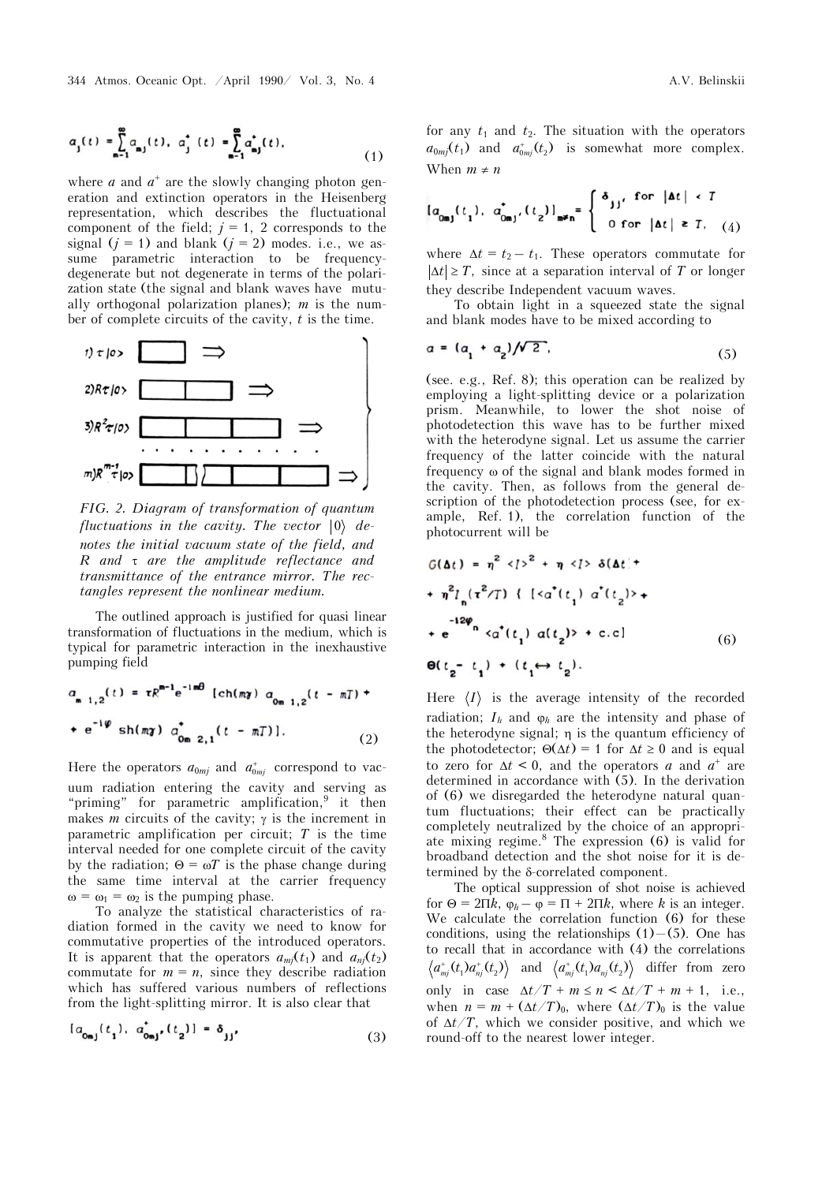where  $a$  and  $a^+$  are the slowly changing photon generation and extinction operators in the Heisenberg representation, which describes the fluctuational component of the field;  $j = 1$ , 2 corresponds to the signal  $(j = 1)$  and blank  $(j = 2)$  modes. i.e., we assume parametric interaction to be frequencydegenerate but not degenerate in terms of the polarization state (the signal and blank waves have mutually orthogonal polarization planes); *m* is the number of complete circuits of the cavity, *t* is the time.



*FIG. 2. Diagram of transformation of quantum fluctuations in the cavity. The vector*  $|0\rangle$  *denotes the initial vacuum state of the field, and R and are the amplitude reflectance and transmittance of the entrance mirror. The rectangles represent the nonlinear medium.*

The outlined approach is justified for quasi linear transformation of fluctuations in the medium, which is typical for parametric interaction in the inexhaustive pumping field

$$
a_{m+1,2}(t) = \tau R^{m-1} e^{-im\theta} \left[ ch(m\gamma) a_{0m+1,2}(t - mT) + \right.
$$
  
+  $e^{-i\varphi} sh(m\gamma) a_{0m+2,1}^{\dagger}(t - mT) \right].$  (2)

Here the operators  $a_{0mj}$  and  $a^+_{0mj}$  correspond to vacuum radiation entering the cavity and serving as "priming" for parametric amplification, $9$  it then makes *m* circuits of the cavity;  $\gamma$  is the increment in parametric amplification per circuit; *T* is the time interval needed for one complete circuit of the cavity by the radiation;  $\Theta = \omega T$  is the phase change during the same time interval at the carrier frequency  $\omega = \omega_1 = \omega_2$  is the pumping phase.

To analyze the statistical characteristics of radiation formed in the cavity we need to know for commutative properties of the introduced operators. It is apparent that the operators  $a_{mi}(t_1)$  and  $a_{ni}(t_2)$ commutate for  $m = n$ , since they describe radiation which has suffered various numbers of reflections from the light-splitting mirror. It is also clear that

$$
[a_{0mj}(t_1), a'_{0mj}(t_2)] = \delta_{jj'}
$$
 (3)

for any  $t_1$  and  $t_2$ . The situation with the operators  $a_{0mj}(t_1)$  and  $a_{0mj}^+(t_2)$  is somewhat more complex. When  $m \neq n$ 

$$
[a_{0mj}(t_1), a_{0mj}^{\dagger}, (t_2)]_{m\neq n} = \begin{cases} \delta_{jj}^{\dagger} & \text{for } |\Delta t| < T \\ 0 & \text{for } |\Delta t| \ge T, \end{cases}
$$

where  $\Delta t = t_2 - t_1$ . These operators commutate for  $|\Delta t| \geq T$ , since at a separation interval of *T* or longer they describe Independent vacuum waves.

To obtain light in a squeezed state the signal and blank modes have to be mixed according to

$$
a = (a_1 + a_2)/\sqrt{2} \tag{5}
$$

(see. e.g., Ref. 8); this operation can be realized by employing a light-splitting device or a polarization prism. Meanwhile, to lower the shot noise of photodetection this wave has to be further mixed with the heterodyne signal. Let us assume the carrier frequency of the latter coincide with the natural frequency of the signal and blank modes formed in the cavity. Then, as follows from the general description of the photodetection process (see, for example, Ref. 1), the correlation function of the photocurrent will be

$$
G(\Delta t) = \eta^2 \langle 2 \rangle^2 + \eta \langle 2 \rangle \delta(\Delta t) +
$$
  
+ 
$$
\eta^2 l_n (\tau^2 / T) \{ \{ \langle \alpha^*(t_1) \alpha^*(t_2) \rangle +
$$
  
+ 
$$
e^{-12\phi_n} \langle \alpha^*(t_1) \alpha(t_2) \rangle + c.c \}
$$
  

$$
\theta(t_2 - t_1) + (t_1 \leftrightarrow t_2).
$$
 (6)

Here  $\langle I \rangle$  is the average intensity of the recorded radiation;  $I_h$  and  $\varphi_h$  are the intensity and phase of the heterodyne signal;  $\eta$  is the quantum efficiency of the photodetector;  $\Theta(\Delta t) = 1$  for  $\Delta t \geq 0$  and is equal to zero for  $\Delta t < 0$ , and the operators *a* and  $a^+$  are determined in accordance with (5). In the derivation of (6) we disregarded the heterodyne natural quantum fluctuations; their effect can be practically completely neutralized by the choice of an appropriate mixing regime. $8$  The expression (6) is valid for broadband detection and the shot noise for it is determined by the  $\delta$ -correlated component.

The optical suppression of shot noise is achieved for  $\Theta = 2\Pi k$ ,  $\varphi_h - \varphi = \Pi + 2\Pi k$ , where *k* is an integer. We calculate the correlation function (6) for these conditions, using the relationships  $(1)$ – $(5)$ . One has to recall that in accordance with (4) the correlations  $\langle a_{mj}^+(t_1) a_{nj}^+(t_2) \rangle$  and  $\langle a_{mj}^+(t_1) a_{nj}^-(t_2) \rangle$  differ from zero only in case  $\Delta t/T + m \le n \le \Delta t/T + m + 1$ , i.e., when  $n = m + (\Delta t/T)_0$ , where  $(\Delta t/T)_0$  is the value of  $\Delta t/T$ , which we consider positive, and which we round-off to the nearest lower integer.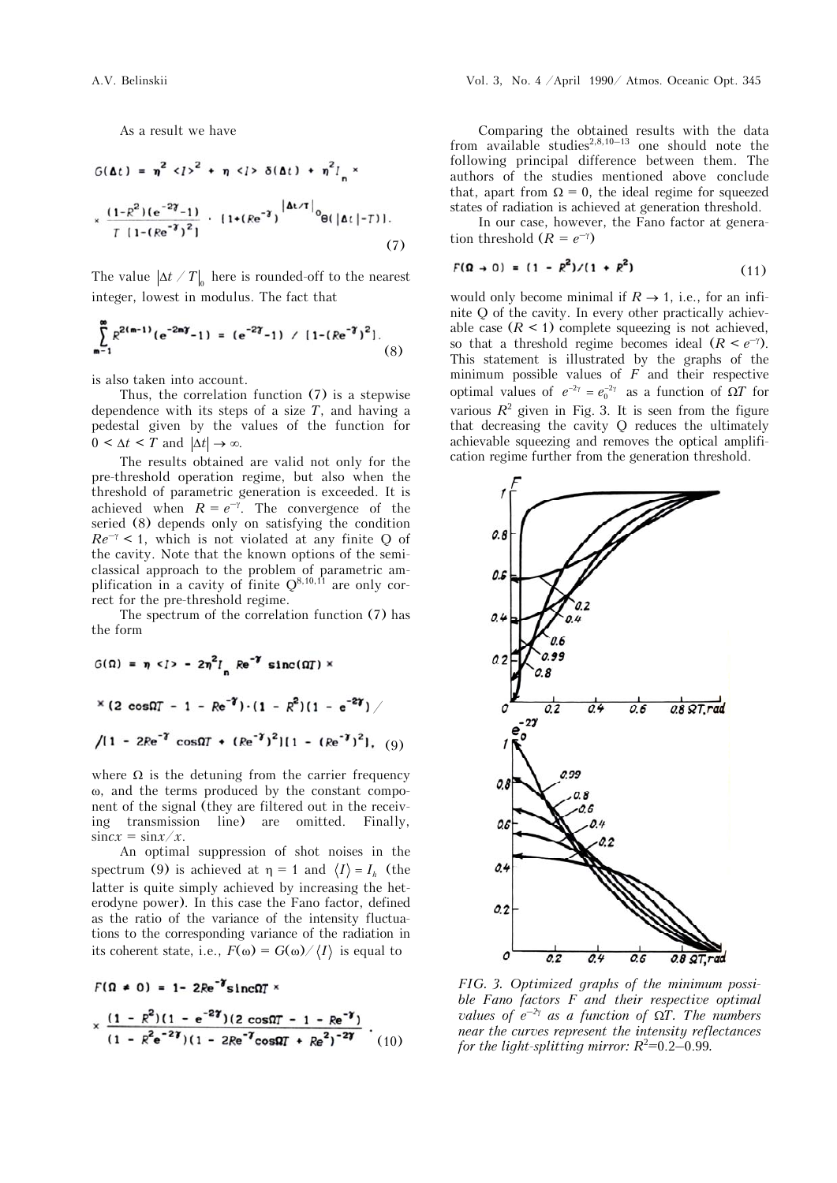As a result we have

$$
G(\Delta t) = \eta^{2} \langle 1 \rangle^{2} + \eta \langle 1 \rangle \delta(\Delta t) + \eta^{2} I_{n} \times
$$
  

$$
\times \frac{(1 - R^{2})(e^{-2\gamma} - 1)}{T [1 - (Re^{-\gamma})^{2}]} \cdot [1 + (Re^{-\gamma})^{|\Delta t / T|} \Theta(|\Delta t| - T)]. \tag{7}
$$

The value  $|\Delta t / T|_0$  here is rounded-off to the nearest integer, lowest in modulus. The fact that

$$
\sum_{m=1}^{\infty} R^{2(m-1)} (e^{-2m\gamma} - 1) = (e^{-2\gamma} - 1) / [1 - (Re^{-\gamma})^2].
$$
 (8)

is also taken into account.

Thus, the correlation function (7) is a stepwise dependence with its steps of a size  $T$ , and having a pedestal given by the values of the function for  $0 \leq \Delta t \leq T$  and  $|\Delta t| \to \infty$ .

The results obtained are valid not only for the pre-threshold operation regime, but also when the threshold of parametric generation is exceeded. It is achieved when  $R = e^{-\gamma}$ . The convergence of the seried (8) depends only on satisfying the condition  $Re^{-\gamma}$  < 1, which is not violated at any finite Q of the cavity. Note that the known options of the semiclassical approach to the problem of parametric amplification in a cavity of finite  $Q^{8,10,11}$  are only correct for the pre-threshold regime.

The spectrum of the correlation function (7) has the form

$$
G(\Omega) = \eta \langle 1 \rangle - 2\eta^2 I_n \operatorname{Re}^{-\gamma} \operatorname{sinc}(\Omega T) \times
$$
  
× (2 cos $\Omega T$  - 1 - Re<sup>-\gamma</sup>) · (1 - R<sup>2</sup>) (1 - e<sup>-2\gamma</sup>)  

$$
\sqrt{11 - 2Re^{-\gamma} \cos\Omega T + (Re^{-\gamma})^2} [1 - (Re^{-\gamma})^2], (9)
$$

where  $\Omega$  is the detuning from the carrier frequency , and the terms produced by the constant component of the signal (they are filtered out in the receiving transmission line) are omitted. Finally,  $\sin c x = \sin x / x$ .

An optimal suppression of shot noises in the spectrum (9) is achieved at  $\eta = 1$  and  $\langle I \rangle = I_h$  (the latter is quite simply achieved by increasing the heterodyne power). In this case the Fano factor, defined as the ratio of the variance of the intensity fluctuations to the corresponding variance of the radiation in its coherent state, i.e.,  $F(\omega) = G(\omega) / \langle I \rangle$  is equal to

$$
F(\Omega \neq 0) = 1 - 2Re^{-1} \sin \Omega T \times
$$
  
 
$$
\times \frac{(1 - R^2)(1 - e^{-2\gamma})(2 \cos \Omega T - 1 - Re^{-\gamma})}{(1 - R^2 e^{-2\gamma})(1 - 2Re^{-\gamma} \cos \Omega T + Re^2)^{-2\gamma}} \cdot (10)
$$

Comparing the obtained results with the data from available studies<sup>2,8,10–13</sup> one should note the following principal difference between them. The authors of the studies mentioned above conclude that, apart from  $\Omega = 0$ , the ideal regime for squeezed states of radiation is achieved at generation threshold.

In our case, however, the Fano factor at generation threshold  $(R = e^{-\gamma})$ 

$$
F(\Omega \to 0) = (1 - R^2) / (1 + R^2)
$$
 (11)

would only become minimal if  $R \rightarrow 1$ , i.e., for an infinite Q of the cavity. In every other practically achievable case  $(R \leq 1)$  complete squeezing is not achieved, so that a threshold regime becomes ideal  $(R < e^{-\gamma})$ . This statement is illustrated by the graphs of the minimum possible values of *F* and their respective optimal values of  $e^{-2\gamma} = e_0^{-2\gamma}$  as a function of  $\Omega T$  for various  $R^2$  given in Fig. 3. It is seen from the figure that decreasing the cavity Q reduces the ultimately achievable squeezing and removes the optical amplification regime further from the generation threshold.



*FIG. 3. Optimized graphs of the minimum possible Fano factors F and their respective optimal values of*  $e^{-2\gamma}$  *as a function of*  $\Omega T$ *. The numbers near the curves represent the intensity reflectances for the light-splitting mirror:*  $R^2=0.2-0.99$ .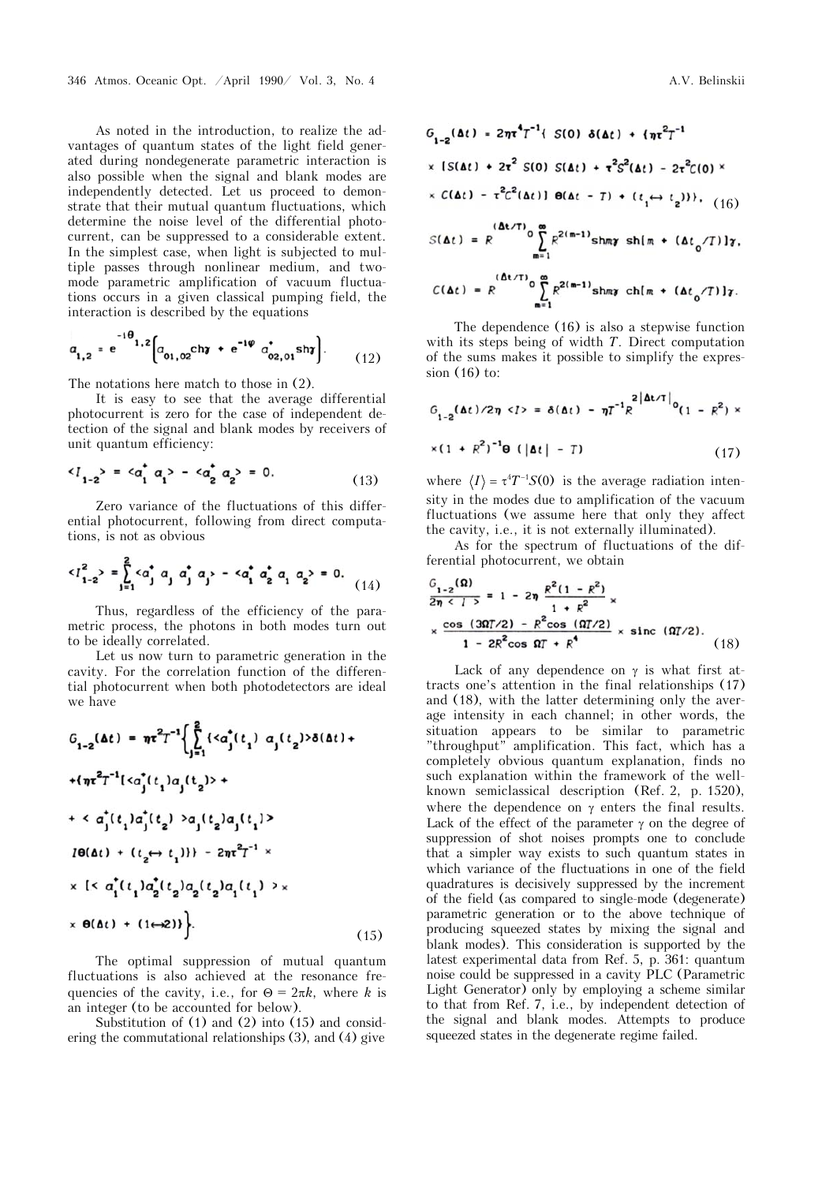As noted in the introduction, to realize the advantages of quantum states of the light field generated during nondegenerate parametric interaction is also possible when the signal and blank modes are independently detected. Let us proceed to demonstrate that their mutual quantum fluctuations, which determine the noise level of the differential photocurrent, can be suppressed to a considerable extent. In the simplest case, when light is subjected to multiple passes through nonlinear medium, and twomode parametric amplification of vacuum fluctuations occurs in a given classical pumping field, the interaction is described by the equations

$$
a_{1,2} = e^{-1\theta} \Big[ a_{01,02} \text{ch} \gamma + e^{-1\phi} a_{02,01}^* \text{sh} \gamma \Big].
$$
 (12)

The notations here match to those in (2).

It is easy to see that the average differential photocurrent is zero for the case of independent detection of the signal and blank modes by receivers of unit quantum efficiency:

$$
\langle l_{1-2} \rangle = \langle a_1^* a_1 \rangle - \langle a_2^* a_2 \rangle = 0. \tag{13}
$$

Zero variance of the fluctuations of this differential photocurrent, following from direct computations, is not as obvious

$$
\langle l_{1-2}^2 \rangle = \sum_{j=1}^2 \langle a_j^* a_j a_j^* a_j \rangle - \langle a_1^* a_2^* a_1 a_2 \rangle = 0. \tag{14}
$$

Thus, regardless of the efficiency of the parametric process, the photons in both modes turn out to be ideally correlated.

Let us now turn to parametric generation in the cavity. For the correlation function of the differential photocurrent when both photodetectors are ideal we have

$$
G_{1-2}(\Delta t) = \pi r^2 T^{-1} \Biggl\{ \sum_{j=1}^{2} \{ \langle \alpha_j^*(t_1) \alpha_j(t_2) \rangle \delta(\Delta t) + \frac{1}{2} \pi^2 T^{-1} [\langle \alpha_j^*(t_1) \alpha_j(t_2) \rangle + \frac{1}{2} \pi^2 T^{-1} [\langle \alpha_j^*(t_1) \alpha_j(t_2) \rangle + \frac{1}{2} \pi^2 T^{-1} \Biggr\}
$$
  
\n
$$
I\Theta(\Delta t) + \frac{1}{2} \left( \sum_{j=1}^{2} \sum_{j=1}^{2} \alpha_j^*(t_1) \alpha_j^*(t_2) \alpha_j(t_1) \right) \times \frac{1}{2} \times \frac{1}{2} \left( \sum_{j=1}^{2} \alpha_j^*(t_1) \alpha_j^*(t_2) \alpha_j(t_1) \right) \times \frac{1}{2} \times \Theta(\Delta t) + (1 \leftrightarrow 2) \Biggr\}.
$$
 (15)

The optimal suppression of mutual quantum fluctuations is also achieved at the resonance frequencies of the cavity, i.e., for  $\Theta = 2\pi k$ , where *k* is an integer (to be accounted for below).

Substitution of (1) and (2) into (15) and considering the commutational relationships (3), and (4) give

$$
G_{1-2}(\Delta t) = 2\pi \tau^4 T^{-1} \{ S(0) \delta(\Delta t) + \{ \pi^2 T^{-1} \}
$$
  
× 
$$
[S(\Delta t) + 2\tau^2 S(0) S(\Delta t) + \tau^2 S^2(\Delta t) - 2\tau^2 C(0) \times
$$
  
× 
$$
C(\Delta t) - \tau^2 C^2(\Delta t) \} \Theta(\Delta t - T) + (t_1 \leftrightarrow t_2) \}, (16)
$$

$$
S(\Delta t) = R \int_{m=1}^{(\Delta t/T)} \sum_{m=1}^{\infty} R^{2(m-1)} \sin \pi s h(m + (\Delta t_0/T)) \gamma,
$$
  

$$
C(\Delta t) = R \int_{m=1}^{(\Delta t/T)} \sum_{m=1}^{\infty} R^{2(m-1)} \sin \pi s h(m + (\Delta t_0/T)) \gamma.
$$

The dependence (16) is also a stepwise function with its steps being of width *T*. Direct computation of the sums makes it possible to simplify the expression (16) to:

$$
G_{1-2}(\Delta t)/2\eta \langle l \rangle = \delta(\Delta t) - \eta T^{-1} R^{2|\Delta t/T|} \sigma_{(1 - R^2)} \times
$$
  
 
$$
\times (1 + R^2)^{-1} \Theta \left( |\Delta t| - T \right) \tag{17}
$$

where  $\langle I \rangle = \tau^4 T^{-1} S(0)$  is the average radiation intensity in the modes due to amplification of the vacuum fluctuations (we assume here that only they affect the cavity, i.e., it is not externally illuminated).

As for the spectrum of fluctuations of the differential photocurrent, we obtain

$$
\frac{G_{1-2}(\Omega)}{2n < l>} = 1 - 2\eta \frac{R^2(1 - R^2)}{1 + R^2} \times \frac{\cos (3\Omega T/2) - R^2 \cos (0.7/2)}{1 - 2R^2 \cos (0.7/2)} \times \text{sinc} (0.7/2).
$$
\n(18)

Lack of any dependence on  $\gamma$  is what first attracts one's attention in the final relationships (17) and (18), with the latter determining only the average intensity in each channel; in other words, the situation appears to be similar to parametric "throughput" amplification. This fact, which has a completely obvious quantum explanation, finds no such explanation within the framework of the wellknown semiclassical description (Ref. 2, p. 1520), where the dependence on  $\gamma$  enters the final results. Lack of the effect of the parameter  $\gamma$  on the degree of suppression of shot noises prompts one to conclude that a simpler way exists to such quantum states in which variance of the fluctuations in one of the field quadratures is decisively suppressed by the increment of the field (as compared to single-mode (degenerate) parametric generation or to the above technique of producing squeezed states by mixing the signal and blank modes). This consideration is supported by the latest experimental data from Ref. 5, p. 361: quantum noise could be suppressed in a cavity PLC (Parametric Light Generator) only by employing a scheme similar to that from Ref. 7, i.e., by independent detection of the signal and blank modes. Attempts to produce squeezed states in the degenerate regime failed.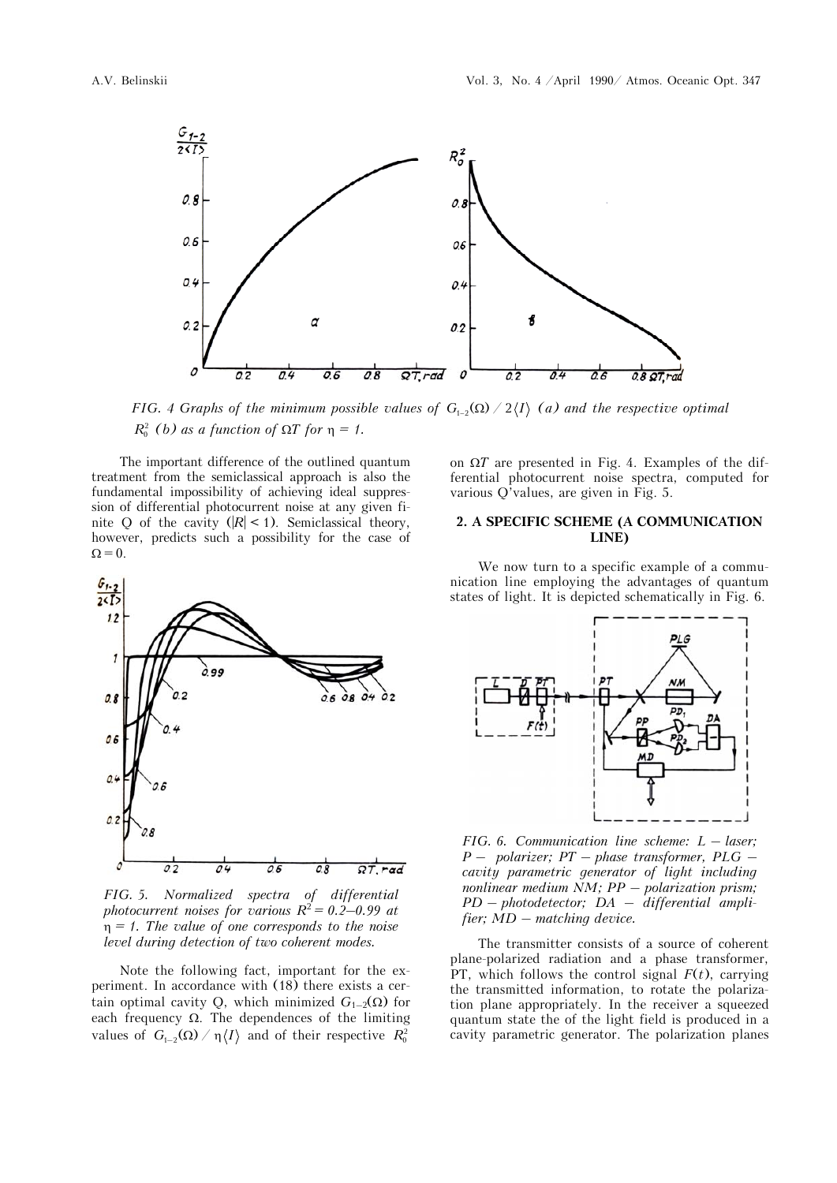

*FIG. 4 Graphs of the minimum possible values of*  $G_{1-2}(\Omega) / 2\langle I \rangle$  *(a) and the respective optimal*  $R_0^2$  (b) as a function of  $\Omega T$  for  $\eta = 1$ .

The important difference of the outlined quantum treatment from the semiclassical approach is also the fundamental impossibility of achieving ideal suppression of differential photocurrent noise at any given finite Q of the cavity  $(|R| < 1)$ . Semiclassical theory, however, predicts such a possibility for the case of  $\Omega = 0.$ 



*FIG. 5. Normalized spectra of differential photocurrent noises for various*  $R^2 = 0.2{\text -}0.99$  at *= 1. The value of one corresponds to the noise level during detection of two coherent modes.* 

Note the following fact, important for the experiment. In accordance with (18) there exists a certain optimal cavity Q, which minimized  $G_{1-2}(\Omega)$  for each frequency  $\Omega$ . The dependences of the limiting values of  $G_{1-2}(\Omega) / \eta \langle I \rangle$  and of their respective  $R_0^2$ 

on  $\Omega T$  are presented in Fig. 4. Examples of the differential photocurrent noise spectra, computed for various Q'values, are given in Fig. 5.

### **2. A SPECIFIC SCHEME (A COMMUNICATION LINE)**

We now turn to a specific example of a communication line employing the advantages of quantum states of light. It is depicted schematically in Fig. 6.



*FIG. 6. Communication line scheme: L – laser; P – polarizer; PT – phase transformer, PLG – cavity parametric generator of light including nonlinear medium NM; PP – polarization prism; PD – photodetector; DA – differential amplifier; MD – matching device.*

The transmitter consists of a source of coherent plane-polarized radiation and a phase transformer, PT, which follows the control signal  $F(t)$ , carrying the transmitted information, to rotate the polarization plane appropriately. In the receiver a squeezed quantum state the of the light field is produced in a cavity parametric generator. The polarization planes